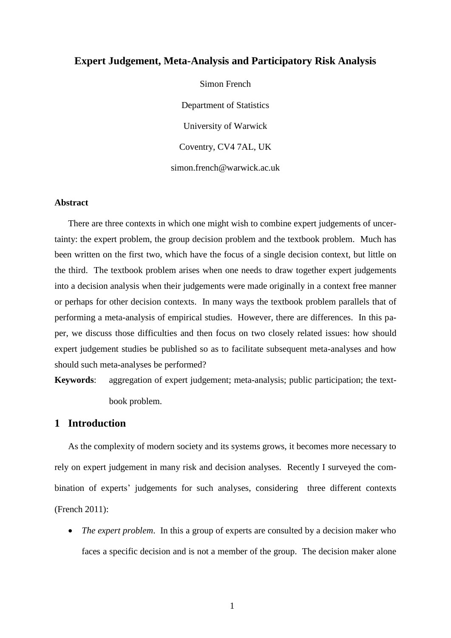## **Expert Judgement, Meta-Analysis and Participatory Risk Analysis**

Simon French Department of Statistics University of Warwick Coventry, CV4 7AL, UK simon.french@warwick.ac.uk

#### **Abstract**

There are three contexts in which one might wish to combine expert judgements of uncertainty: the expert problem, the group decision problem and the textbook problem. Much has been written on the first two, which have the focus of a single decision context, but little on the third. The textbook problem arises when one needs to draw together expert judgements into a decision analysis when their judgements were made originally in a context free manner or perhaps for other decision contexts. In many ways the textbook problem parallels that of performing a meta-analysis of empirical studies. However, there are differences. In this paper, we discuss those difficulties and then focus on two closely related issues: how should expert judgement studies be published so as to facilitate subsequent meta-analyses and how should such meta-analyses be performed?

**Keywords**: aggregation of expert judgement; meta-analysis; public participation; the textbook problem.

# **1 Introduction**

As the complexity of modern society and its systems grows, it becomes more necessary to rely on expert judgement in many risk and decision analyses. Recently I surveyed the combination of experts' judgements for such analyses, considering three different contexts [\(French 2011\)](#page-17-0):

 *The expert problem*. In this a group of experts are consulted by a decision maker who faces a specific decision and is not a member of the group. The decision maker alone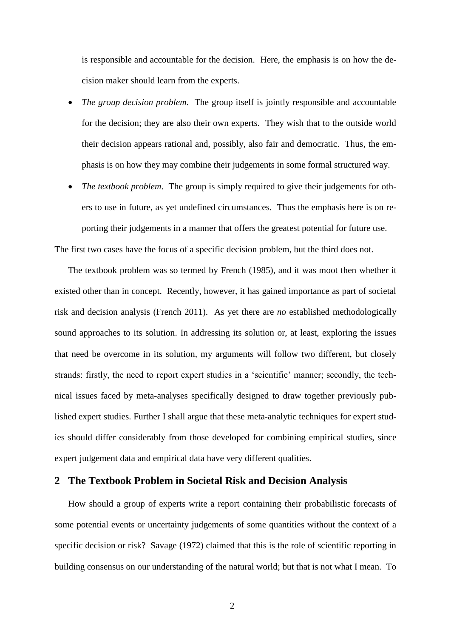is responsible and accountable for the decision. Here, the emphasis is on how the decision maker should learn from the experts.

- *The group decision problem*. The group itself is jointly responsible and accountable for the decision; they are also their own experts. They wish that to the outside world their decision appears rational and, possibly, also fair and democratic. Thus, the emphasis is on how they may combine their judgements in some formal structured way.
- *The textbook problem*. The group is simply required to give their judgements for others to use in future, as yet undefined circumstances. Thus the emphasis here is on reporting their judgements in a manner that offers the greatest potential for future use.

The first two cases have the focus of a specific decision problem, but the third does not.

The textbook problem was so termed by French [\(1985\)](#page-17-1), and it was moot then whether it existed other than in concept. Recently, however, it has gained importance as part of societal risk and decision analysis [\(French 2011\)](#page-17-0). As yet there are *no* established methodologically sound approaches to its solution. In addressing its solution or, at least, exploring the issues that need be overcome in its solution, my arguments will follow two different, but closely strands: firstly, the need to report expert studies in a 'scientific' manner; secondly, the technical issues faced by meta-analyses specifically designed to draw together previously published expert studies. Further I shall argue that these meta-analytic techniques for expert studies should differ considerably from those developed for combining empirical studies, since expert judgement data and empirical data have very different qualities.

# **2 The Textbook Problem in Societal Risk and Decision Analysis**

How should a group of experts write a report containing their probabilistic forecasts of some potential events or uncertainty judgements of some quantities without the context of a specific decision or risk? Savage [\(1972\)](#page-19-0) claimed that this is the role of scientific reporting in building consensus on our understanding of the natural world; but that is not what I mean. To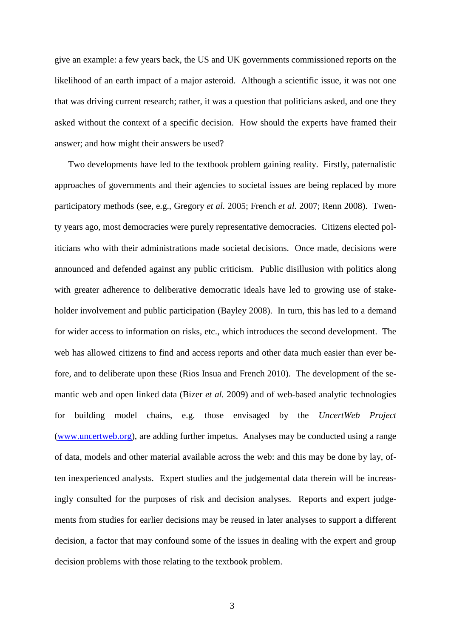give an example: a few years back, the US and UK governments commissioned reports on the likelihood of an earth impact of a major asteroid. Although a scientific issue, it was not one that was driving current research; rather, it was a question that politicians asked, and one they asked without the context of a specific decision. How should the experts have framed their answer; and how might their answers be used?

Two developments have led to the textbook problem gaining reality. Firstly, paternalistic approaches of governments and their agencies to societal issues are being replaced by more participatory methods (see, e.g., [Gregory](#page-18-0) *et al.* 2005; [French](#page-17-2) *et al.* 2007; [Renn 2008\)](#page-19-1). Twenty years ago, most democracies were purely representative democracies. Citizens elected politicians who with their administrations made societal decisions. Once made, decisions were announced and defended against any public criticism. Public disillusion with politics along with greater adherence to deliberative democratic ideals have led to growing use of stakeholder involvement and public participation [\(Bayley 2008\)](#page-16-0). In turn, this has led to a demand for wider access to information on risks, etc., which introduces the second development. The web has allowed citizens to find and access reports and other data much easier than ever before, and to deliberate upon these [\(Rios Insua and French 2010\)](#page-19-2). The development of the semantic web and open linked data [\(Bizer](#page-16-1) *et al.* 2009) and of web-based analytic technologies for building model chains, e.g. those envisaged by the *UncertWeb Project* [\(www.uncertweb.org\)](http://www.uncertweb.org/), are adding further impetus. Analyses may be conducted using a range of data, models and other material available across the web: and this may be done by lay, often inexperienced analysts. Expert studies and the judgemental data therein will be increasingly consulted for the purposes of risk and decision analyses. Reports and expert judgements from studies for earlier decisions may be reused in later analyses to support a different decision, a factor that may confound some of the issues in dealing with the expert and group decision problems with those relating to the textbook problem.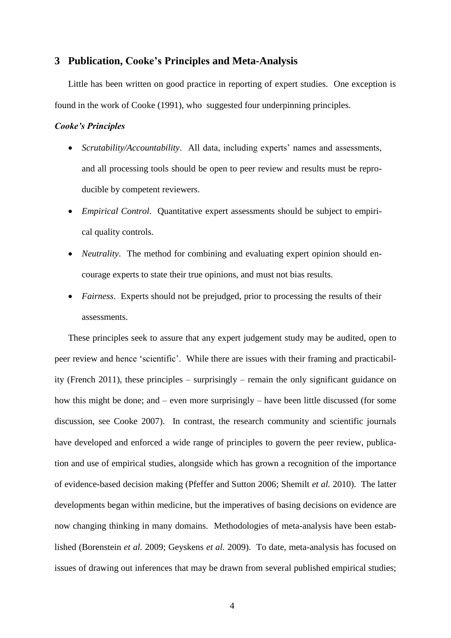### **3 Publication, Cooke's Principles and Meta-Analysis**

Little has been written on good practice in reporting of expert studies. One exception is found in the work of Cooke [\(1991\)](#page-16-2), who suggested four underpinning principles.

#### *Cooke's Principles*

- *Scrutability/Accountability*. All data, including experts' names and assessments, and all processing tools should be open to peer review and results must be reproducible by competent reviewers.
- *Empirical Control*. Quantitative expert assessments should be subject to empirical quality controls.
- *Neutrality*. The method for combining and evaluating expert opinion should encourage experts to state their true opinions, and must not bias results.
- *Fairness*. Experts should not be prejudged, prior to processing the results of their assessments.

These principles seek to assure that any expert judgement study may be audited, open to peer review and hence 'scientific'. While there are issues with their framing and practicability [\(French 2011\)](#page-17-0), these principles – surprisingly – remain the only significant guidance on how this might be done; and – even more surprisingly – have been little discussed [\(for some](#page-16-3)  [discussion, see Cooke 2007\)](#page-16-3). In contrast, the research community and scientific journals have developed and enforced a wide range of principles to govern the peer review, publication and use of empirical studies, alongside which has grown a recognition of the importance of evidence-based decision making [\(Pfeffer and Sutton 2006;](#page-19-3) [Shemilt](#page-19-4) *et al.* 2010). The latter developments began within medicine, but the imperatives of basing decisions on evidence are now changing thinking in many domains. Methodologies of meta-analysis have been established [\(Borenstein](#page-16-4) *et al.* 2009; [Geyskens](#page-17-3) *et al.* 2009). To date, meta-analysis has focused on issues of drawing out inferences that may be drawn from several published empirical studies;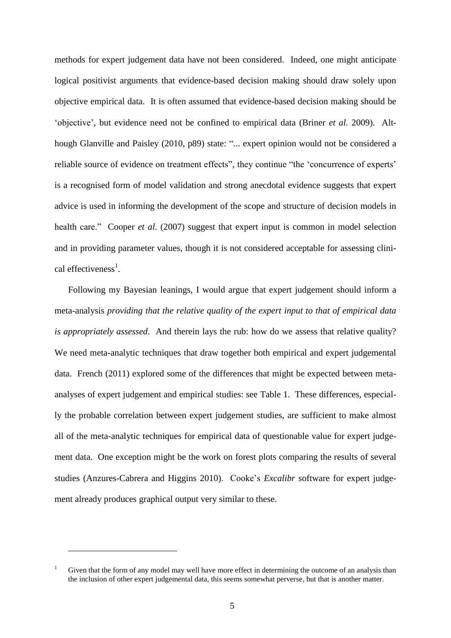methods for expert judgement data have not been considered. Indeed, one might anticipate logical positivist arguments that evidence-based decision making should draw solely upon objective empirical data. It is often assumed that evidence-based decision making should be 'objective', but evidence need not be confined to empirical data [\(Briner](#page-16-5) *et al.* 2009). Although Glanville and Paisley [\(2010, p89\)](#page-17-4) state: "... expert opinion would not be considered a reliable source of evidence on treatment effects", they continue "the 'concurrence of experts' is a recognised form of model validation and strong anecdotal evidence suggests that expert advice is used in informing the development of the scope and structure of decision models in health care." Cooper *et al.* [\(2007\)](#page-17-5) suggest that expert input is common in model selection and in providing parameter values, though it is not considered acceptable for assessing clinical effectiveness<sup>1</sup>.

Following my Bayesian leanings, I would argue that expert judgement should inform a meta-analysis *providing that the relative quality of the expert input to that of empirical data is appropriately assessed*. And therein lays the rub: how do we assess that relative quality? We need meta-analytic techniques that draw together both empirical and expert judgemental data. French [\(2011\)](#page-17-0) explored some of the differences that might be expected between metaanalyses of expert judgement and empirical studies: see Table 1. These differences, especially the probable correlation between expert judgement studies, are sufficient to make almost all of the meta-analytic techniques for empirical data of questionable value for expert judgement data. One exception might be the work on forest plots comparing the results of several studies [\(Anzures-Cabrera and Higgins 2010\)](#page-16-6). Cooke's *Excalibr* software for expert judgement already produces graphical output very similar to these.

<u>.</u>

Given that the form of any model may well have more effect in determining the outcome of an analysis than the inclusion of other expert judgemental data, this seems somewhat perverse, but that is another matter.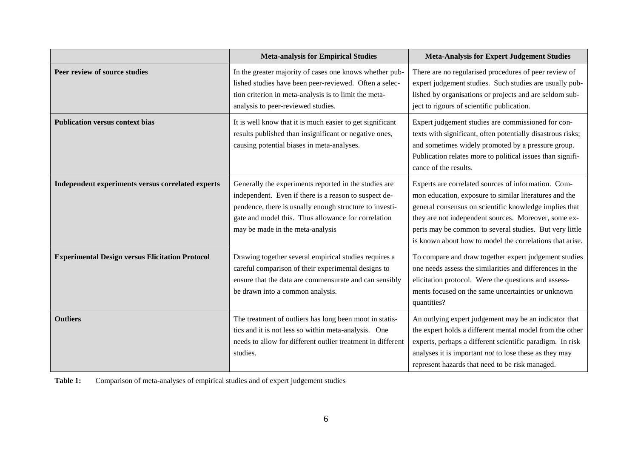|                                                        | <b>Meta-analysis for Empirical Studies</b>                                                                                                                                                                                                                           | <b>Meta-Analysis for Expert Judgement Studies</b>                                                                                                                                                                                                                                                                                                      |
|--------------------------------------------------------|----------------------------------------------------------------------------------------------------------------------------------------------------------------------------------------------------------------------------------------------------------------------|--------------------------------------------------------------------------------------------------------------------------------------------------------------------------------------------------------------------------------------------------------------------------------------------------------------------------------------------------------|
| Peer review of source studies                          | In the greater majority of cases one knows whether pub-<br>lished studies have been peer-reviewed. Often a selec-<br>tion criterion in meta-analysis is to limit the meta-<br>analysis to peer-reviewed studies.                                                     | There are no regularised procedures of peer review of<br>expert judgement studies. Such studies are usually pub-<br>lished by organisations or projects and are seldom sub-<br>ject to rigours of scientific publication.                                                                                                                              |
| <b>Publication versus context bias</b>                 | It is well know that it is much easier to get significant<br>results published than insignificant or negative ones,<br>causing potential biases in meta-analyses.                                                                                                    | Expert judgement studies are commissioned for con-<br>texts with significant, often potentially disastrous risks;<br>and sometimes widely promoted by a pressure group.<br>Publication relates more to political issues than signifi-<br>cance of the results.                                                                                         |
| Independent experiments versus correlated experts      | Generally the experiments reported in the studies are<br>independent. Even if there is a reason to suspect de-<br>pendence, there is usually enough structure to investi-<br>gate and model this. Thus allowance for correlation<br>may be made in the meta-analysis | Experts are correlated sources of information. Com-<br>mon education, exposure to similar literatures and the<br>general consensus on scientific knowledge implies that<br>they are not independent sources. Moreover, some ex-<br>perts may be common to several studies. But very little<br>is known about how to model the correlations that arise. |
| <b>Experimental Design versus Elicitation Protocol</b> | Drawing together several empirical studies requires a<br>careful comparison of their experimental designs to<br>ensure that the data are commensurate and can sensibly<br>be drawn into a common analysis.                                                           | To compare and draw together expert judgement studies<br>one needs assess the similarities and differences in the<br>elicitation protocol. Were the questions and assess-<br>ments focused on the same uncertainties or unknown<br>quantities?                                                                                                         |
| <b>Outliers</b>                                        | The treatment of outliers has long been moot in statis-<br>tics and it is not less so within meta-analysis. One<br>needs to allow for different outlier treatment in different<br>studies.                                                                           | An outlying expert judgement may be an indicator that<br>the expert holds a different mental model from the other<br>experts, perhaps a different scientific paradigm. In risk<br>analyses it is important <i>not</i> to lose these as they may<br>represent hazards that need to be risk managed.                                                     |

**Table 1:** Comparison of meta-analyses of empirical studies and of expert judgement studies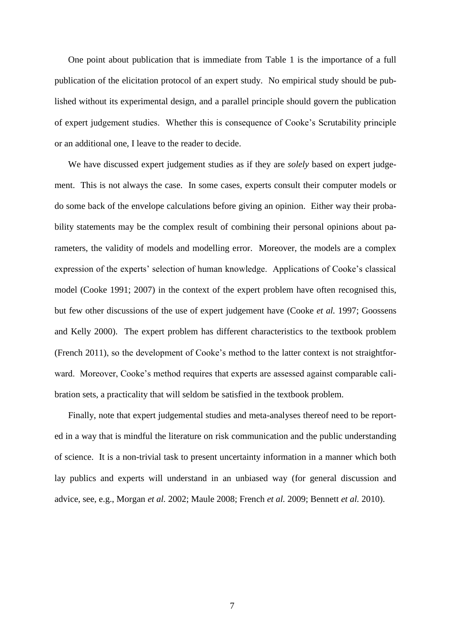One point about publication that is immediate from Table 1 is the importance of a full publication of the elicitation protocol of an expert study. No empirical study should be published without its experimental design, and a parallel principle should govern the publication of expert judgement studies. Whether this is consequence of Cooke's Scrutability principle or an additional one, I leave to the reader to decide.

We have discussed expert judgement studies as if they are *solely* based on expert judgement. This is not always the case. In some cases, experts consult their computer models or do some back of the envelope calculations before giving an opinion. Either way their probability statements may be the complex result of combining their personal opinions about parameters, the validity of models and modelling error. Moreover, the models are a complex expression of the experts' selection of human knowledge. Applications of Cooke's classical model [\(Cooke 1991;](#page-16-2) [2007\)](#page-16-3) in the context of the expert problem have often recognised this, but few other discussions of the use of expert judgement have [\(Cooke](#page-16-7) *et al.* 1997; [Goossens](#page-18-1)  [and Kelly 2000\)](#page-18-1). The expert problem has different characteristics to the textbook problem [\(French 2011\)](#page-17-0), so the development of Cooke's method to the latter context is not straightforward. Moreover, Cooke's method requires that experts are assessed against comparable calibration sets, a practicality that will seldom be satisfied in the textbook problem.

Finally, note that expert judgemental studies and meta-analyses thereof need to be reported in a way that is mindful the literature on risk communication and the public understanding of science. It is a non-trivial task to present uncertainty information in a manner which both lay publics and experts will understand in an unbiased way (for general discussion and advice, see, e.g., [Morgan](#page-19-5) *et al.* 2002; [Maule 2008;](#page-18-2) [French](#page-17-6) *et al.* 2009; [Bennett](#page-16-8) *et al.* 2010).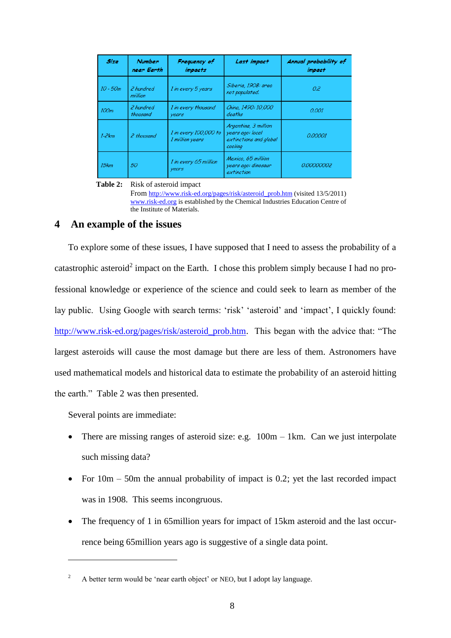| Size       | <b>Number</b><br>near Earth | Frequency of<br><i>impacts</i>           | Last impact                                                                   | Annual probability of<br><i>impact</i> |
|------------|-----------------------------|------------------------------------------|-------------------------------------------------------------------------------|----------------------------------------|
| $10 - 50m$ | 2 hundred<br>million        | 1 in every 5 years                       | Siberia, 1908: area<br>not populated.                                         | 0.2                                    |
| 100m       | 2 hundred<br>thousand       | 1 in every thousand<br>years             | China, 1490: 10,000<br>deaths                                                 | 0.001                                  |
| $1-2km$    | 2 thousand                  | 1 in every 100,000 to<br>1 million years | Argentina, 3 million<br>years ago: local<br>extinctions and global<br>cooling | 0.00001                                |
| 15km       | 50                          | 1 in every 65 million<br>years           | Mexico, 65 million<br>years ago: dinosaur<br>extinction                       | 0.00000002                             |

**Table 2:** Risk of asteroid impact

From [http://www.risk-ed.org/pages/risk/asteroid\\_prob.htm](http://www.risk-ed.org/pages/risk/asteroid_prob.htm) (visited 13/5/2011) [www.risk-ed.org](http://www.risk-ed.org/) is established by the Chemical Industries Education Centre of the Institute of Materials.

# **4 An example of the issues**

To explore some of these issues, I have supposed that I need to assess the probability of a catastrophic asteroid<sup>2</sup> impact on the Earth. I chose this problem simply because I had no professional knowledge or experience of the science and could seek to learn as member of the lay public. Using Google with search terms: 'risk' 'asteroid' and 'impact', I quickly found: [http://www.risk-ed.org/pages/risk/asteroid\\_prob.htm.](http://www.risk-ed.org/pages/risk/asteroid_prob.htm) This began with the advice that: "The largest asteroids will cause the most damage but there are less of them. Astronomers have used mathematical models and historical data to estimate the probability of an asteroid hitting the earth." Table 2 was then presented.

Several points are immediate:

1

- There are missing ranges of asteroid size: e.g.  $100m 1km$ . Can we just interpolate such missing data?
- For  $10m 50m$  the annual probability of impact is 0.2; yet the last recorded impact was in 1908. This seems incongruous.
- The frequency of 1 in 65million years for impact of 15km asteroid and the last occurrence being 65million years ago is suggestive of a single data point.

<sup>&</sup>lt;sup>2</sup> A better term would be 'near earth object' or NEO, but I adopt lay language.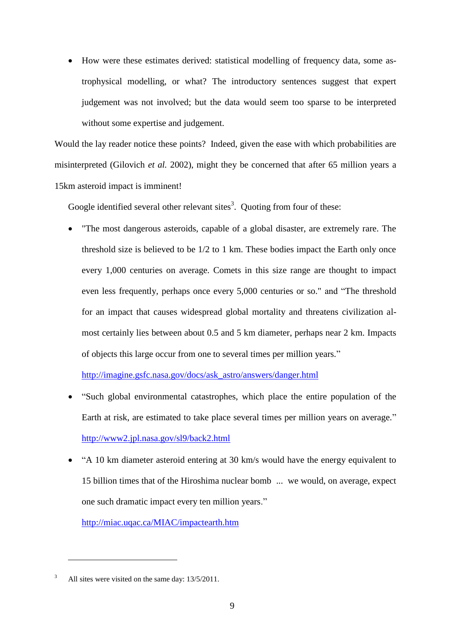• How were these estimates derived: statistical modelling of frequency data, some astrophysical modelling, or what? The introductory sentences suggest that expert judgement was not involved; but the data would seem too sparse to be interpreted without some expertise and judgement.

Would the lay reader notice these points? Indeed, given the ease with which probabilities are misinterpreted [\(Gilovich](#page-17-7) *et al.* 2002), might they be concerned that after 65 million years a 15km asteroid impact is imminent!

Google identified several other relevant sites<sup>3</sup>. Quoting from four of these:

 "The most dangerous asteroids, capable of a global disaster, are extremely rare. The threshold size is believed to be 1/2 to 1 km. These bodies impact the Earth only once every 1,000 centuries on average. Comets in this size range are thought to impact even less frequently, perhaps once every 5,000 centuries or so." and "The threshold for an impact that causes widespread global mortality and threatens civilization almost certainly lies between about 0.5 and 5 km diameter, perhaps near 2 km. Impacts of objects this large occur from one to several times per million years."

[http://imagine.gsfc.nasa.gov/docs/ask\\_astro/answers/danger.html](http://imagine.gsfc.nasa.gov/docs/ask_astro/answers/danger.html)

- "Such global environmental catastrophes, which place the entire population of the Earth at risk, are estimated to take place several times per million years on average." <http://www2.jpl.nasa.gov/sl9/back2.html>
- "A 10 km diameter asteroid entering at 30 km/s would have the energy equivalent to 15 billion times that of the Hiroshima nuclear bomb ... we would, on average, expect one such dramatic impact every ten million years."

<http://miac.uqac.ca/MIAC/impactearth.htm>

1

<sup>&</sup>lt;sup>3</sup> All sites were visited on the same day: 13/5/2011.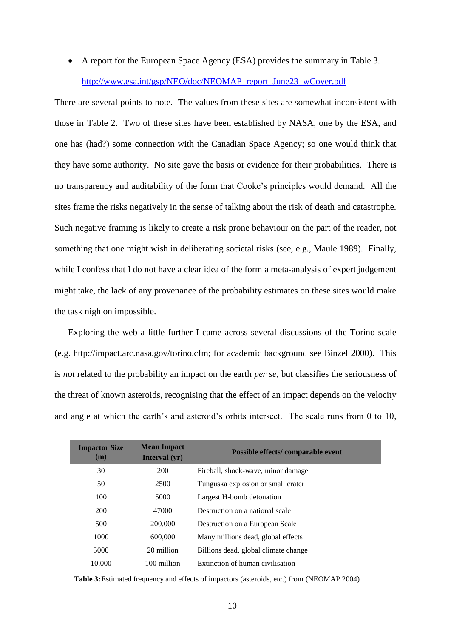A report for the European Space Agency (ESA) provides the summary in Table 3. [http://www.esa.int/gsp/NEO/doc/NEOMAP\\_report\\_June23\\_wCover.pdf](http://www.esa.int/gsp/NEO/doc/NEOMAP_report_June23_wCover.pdf)

There are several points to note. The values from these sites are somewhat inconsistent with those in Table 2. Two of these sites have been established by NASA, one by the ESA, and one has (had?) some connection with the Canadian Space Agency; so one would think that they have some authority. No site gave the basis or evidence for their probabilities. There is no transparency and auditability of the form that Cooke's principles would demand. All the sites frame the risks negatively in the sense of talking about the risk of death and catastrophe. Such negative framing is likely to create a risk prone behaviour on the part of the reader, not something that one might wish in deliberating societal risks [\(see, e.g., Maule 1989\)](#page-18-3). Finally, while I confess that I do not have a clear idea of the form a meta-analysis of expert judgement might take, the lack of any provenance of the probability estimates on these sites would make the task nigh on impossible.

Exploring the web a little further I came across several discussions of the Torino scale [\(e.g. http://impact.arc.nasa.gov/torino.cfm; for academic background see Binzel 2000\)](#page-16-9). This is *not* related to the probability an impact on the earth *per se*, but classifies the seriousness of the threat of known asteroids, recognising that the effect of an impact depends on the velocity and angle at which the earth's and asteroid's orbits intersect. The scale runs from 0 to 10,

| <b>Impactor Size</b><br>(m) | <b>Mean Impact</b><br>Interval $(yr)$ | Possible effects/comparable event    |
|-----------------------------|---------------------------------------|--------------------------------------|
| 30                          | 200                                   | Fireball, shock-wave, minor damage   |
| 50                          | 2500                                  | Tunguska explosion or small crater   |
| 100                         | 5000                                  | Largest H-bomb detonation            |
| 200                         | 47000                                 | Destruction on a national scale      |
| 500                         | 200,000                               | Destruction on a European Scale      |
| 1000                        | 600,000                               | Many millions dead, global effects   |
| 5000                        | 20 million                            | Billions dead, global climate change |
| 10,000                      | 100 million                           | Extinction of human civilisation     |

**Table 3:**Estimated frequency and effects of impactors (asteroids, etc.) from [\(NEOMAP 2004\)](#page-19-6)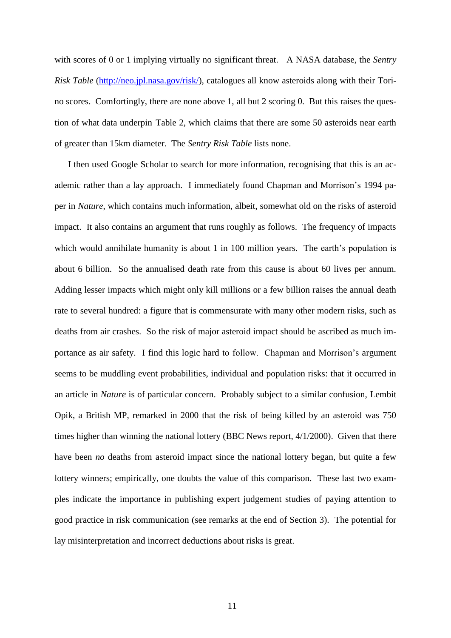with scores of 0 or 1 implying virtually no significant threat. A NASA database, the *Sentry Risk Table* [\(http://neo.jpl.nasa.gov/risk/\)](http://neo.jpl.nasa.gov/risk/), catalogues all know asteroids along with their Torino scores. Comfortingly, there are none above 1, all but 2 scoring 0. But this raises the question of what data underpin Table 2, which claims that there are some 50 asteroids near earth of greater than 15km diameter. The *Sentry Risk Table* lists none.

I then used Google Scholar to search for more information, recognising that this is an academic rather than a lay approach. I immediately found Chapman and Morrison's 1994 paper in *Nature*, which contains much information, albeit, somewhat old on the risks of asteroid impact. It also contains an argument that runs roughly as follows. The frequency of impacts which would annihilate humanity is about 1 in 100 million years. The earth's population is about 6 billion. So the annualised death rate from this cause is about 60 lives per annum. Adding lesser impacts which might only kill millions or a few billion raises the annual death rate to several hundred: a figure that is commensurate with many other modern risks, such as deaths from air crashes. So the risk of major asteroid impact should be ascribed as much importance as air safety. I find this logic hard to follow. Chapman and Morrison's argument seems to be muddling event probabilities, individual and population risks: that it occurred in an article in *Nature* is of particular concern. Probably subject to a similar confusion, Lembit Opik, a British MP, remarked in 2000 that the risk of being killed by an asteroid was 750 times higher than winning the national lottery (BBC News report, 4/1/2000). Given that there have been *no* deaths from asteroid impact since the national lottery began, but quite a few lottery winners; empirically, one doubts the value of this comparison. These last two examples indicate the importance in publishing expert judgement studies of paying attention to good practice in risk communication (see remarks at the end of Section 3). The potential for lay misinterpretation and incorrect deductions about risks is great.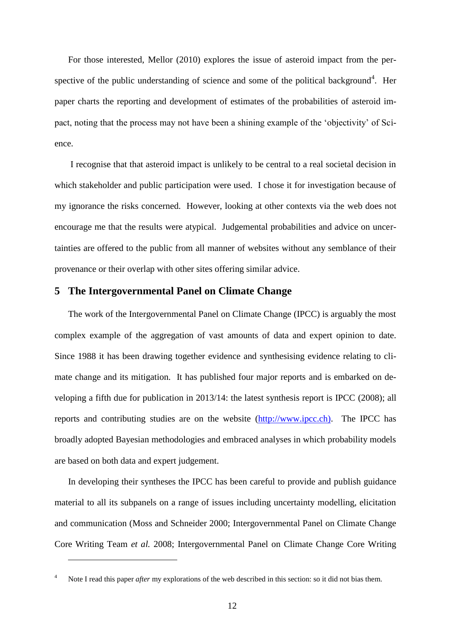For those interested, Mellor [\(2010\)](#page-18-4) explores the issue of asteroid impact from the perspective of the public understanding of science and some of the political background<sup>4</sup>. Her paper charts the reporting and development of estimates of the probabilities of asteroid impact, noting that the process may not have been a shining example of the 'objectivity' of Science.

I recognise that that asteroid impact is unlikely to be central to a real societal decision in which stakeholder and public participation were used. I chose it for investigation because of my ignorance the risks concerned. However, looking at other contexts via the web does not encourage me that the results were atypical. Judgemental probabilities and advice on uncertainties are offered to the public from all manner of websites without any semblance of their provenance or their overlap with other sites offering similar advice.

# **5 The Intergovernmental Panel on Climate Change**

The work of the Intergovernmental Panel on Climate Change (IPCC) is arguably the most complex example of the aggregation of vast amounts of data and expert opinion to date. Since 1988 it has been drawing together evidence and synthesising evidence relating to climate change and its mitigation. It has published four major reports and is embarked on developing a fifth due for publication in 2013/14: the latest synthesis report is IPCC (2008); all reports and contributing studies are on the website [\(http://www.ipcc.ch\)](http://www.ipcc.ch/). The IPCC has broadly adopted Bayesian methodologies and embraced analyses in which probability models are based on both data and expert judgement.

In developing their syntheses the IPCC has been careful to provide and publish guidance material to all its subpanels on a range of issues including uncertainty modelling, elicitation and communication [\(Moss and Schneider 2000;](#page-19-7) [Intergovernmental Panel on Climate Change](#page-18-5)  [Core Writing Team](#page-18-5) *et al.* 2008; [Intergovernmental Panel on Climate Change Core Writing](#page-18-6) 

1

Note I read this paper *after* my explorations of the web described in this section: so it did not bias them.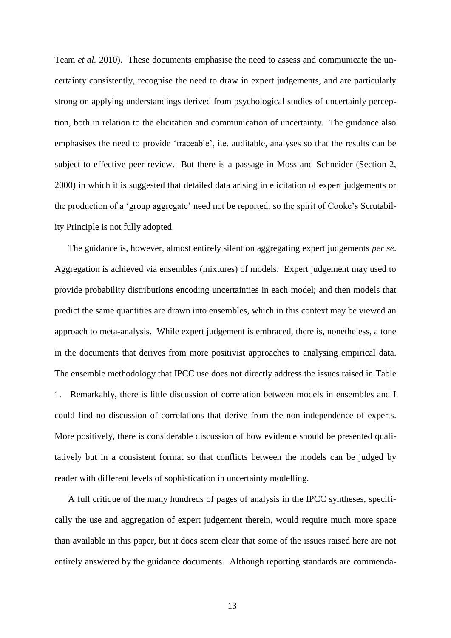[Team](#page-18-6) *et al.* 2010). These documents emphasise the need to assess and communicate the uncertainty consistently, recognise the need to draw in expert judgements, and are particularly strong on applying understandings derived from psychological studies of uncertainly perception, both in relation to the elicitation and communication of uncertainty. The guidance also emphasises the need to provide 'traceable', i.e. auditable, analyses so that the results can be subject to effective peer review. But there is a passage in Moss and Schneider [\(Section 2,](#page-19-7)  [2000\)](#page-19-7) in which it is suggested that detailed data arising in elicitation of expert judgements or the production of a 'group aggregate' need not be reported; so the spirit of Cooke's Scrutability Principle is not fully adopted.

The guidance is, however, almost entirely silent on aggregating expert judgements *per se*. Aggregation is achieved via ensembles (mixtures) of models. Expert judgement may used to provide probability distributions encoding uncertainties in each model; and then models that predict the same quantities are drawn into ensembles, which in this context may be viewed an approach to meta-analysis. While expert judgement is embraced, there is, nonetheless, a tone in the documents that derives from more positivist approaches to analysing empirical data. The ensemble methodology that IPCC use does not directly address the issues raised in Table 1. Remarkably, there is little discussion of correlation between models in ensembles and I could find no discussion of correlations that derive from the non-independence of experts. More positively, there is considerable discussion of how evidence should be presented qualitatively but in a consistent format so that conflicts between the models can be judged by reader with different levels of sophistication in uncertainty modelling.

A full critique of the many hundreds of pages of analysis in the IPCC syntheses, specifically the use and aggregation of expert judgement therein, would require much more space than available in this paper, but it does seem clear that some of the issues raised here are not entirely answered by the guidance documents. Although reporting standards are commenda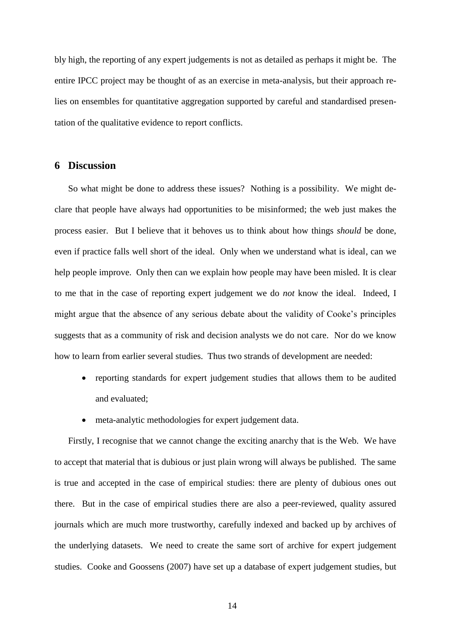bly high, the reporting of any expert judgements is not as detailed as perhaps it might be. The entire IPCC project may be thought of as an exercise in meta-analysis, but their approach relies on ensembles for quantitative aggregation supported by careful and standardised presentation of the qualitative evidence to report conflicts.

# **6 Discussion**

So what might be done to address these issues? Nothing is a possibility. We might declare that people have always had opportunities to be misinformed; the web just makes the process easier. But I believe that it behoves us to think about how things *should* be done, even if practice falls well short of the ideal. Only when we understand what is ideal, can we help people improve. Only then can we explain how people may have been misled. It is clear to me that in the case of reporting expert judgement we do *not* know the ideal. Indeed, I might argue that the absence of any serious debate about the validity of Cooke's principles suggests that as a community of risk and decision analysts we do not care. Nor do we know how to learn from earlier several studies. Thus two strands of development are needed:

- reporting standards for expert judgement studies that allows them to be audited and evaluated;
- meta-analytic methodologies for expert judgement data.

Firstly, I recognise that we cannot change the exciting anarchy that is the Web. We have to accept that material that is dubious or just plain wrong will always be published. The same is true and accepted in the case of empirical studies: there are plenty of dubious ones out there. But in the case of empirical studies there are also a peer-reviewed, quality assured journals which are much more trustworthy, carefully indexed and backed up by archives of the underlying datasets. We need to create the same sort of archive for expert judgement studies. Cooke and Goossens [\(2007\)](#page-17-8) have set up a database of expert judgement studies, but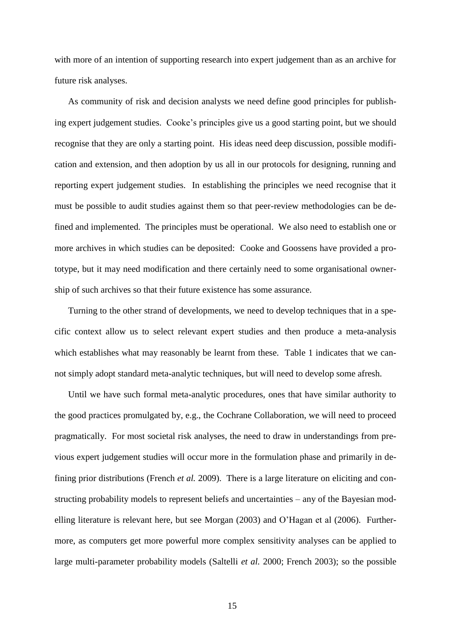with more of an intention of supporting research into expert judgement than as an archive for future risk analyses.

As community of risk and decision analysts we need define good principles for publishing expert judgement studies. Cooke's principles give us a good starting point, but we should recognise that they are only a starting point. His ideas need deep discussion, possible modification and extension, and then adoption by us all in our protocols for designing, running and reporting expert judgement studies. In establishing the principles we need recognise that it must be possible to audit studies against them so that peer-review methodologies can be defined and implemented. The principles must be operational. We also need to establish one or more archives in which studies can be deposited: Cooke and Goossens have provided a prototype, but it may need modification and there certainly need to some organisational ownership of such archives so that their future existence has some assurance.

Turning to the other strand of developments, we need to develop techniques that in a specific context allow us to select relevant expert studies and then produce a meta-analysis which establishes what may reasonably be learnt from these. Table 1 indicates that we cannot simply adopt standard meta-analytic techniques, but will need to develop some afresh.

Until we have such formal meta-analytic procedures, ones that have similar authority to the good practices promulgated by, e.g., the Cochrane Collaboration, we will need to proceed pragmatically. For most societal risk analyses, the need to draw in understandings from previous expert judgement studies will occur more in the formulation phase and primarily in defining prior distributions [\(French](#page-17-6) *et al.* 2009). There is a large literature on eliciting and constructing probability models to represent beliefs and uncertainties – any of the Bayesian modelling literature is relevant here, but see Morgan [\(2003\)](#page-19-8) and O'Hagan et al [\(2006\)](#page-19-9). Furthermore, as computers get more powerful more complex sensitivity analyses can be applied to large multi-parameter probability models [\(Saltelli](#page-19-10) *et al.* 2000; [French 2003\)](#page-17-9); so the possible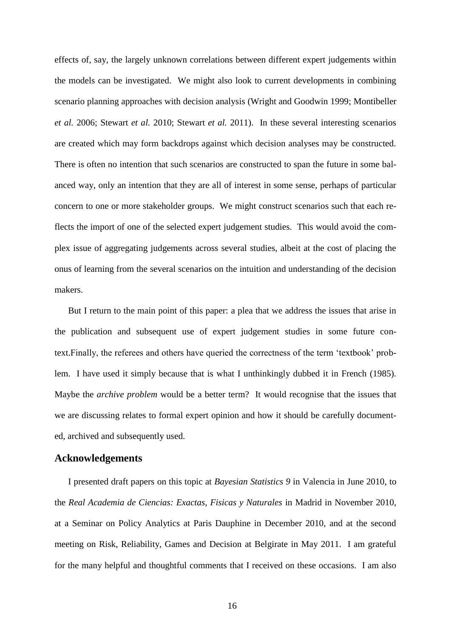effects of, say, the largely unknown correlations between different expert judgements within the models can be investigated. We might also look to current developments in combining scenario planning approaches with decision analysis [\(Wright and Goodwin 1999;](#page-20-0) [Montibeller](#page-18-7) *et al.* [2006;](#page-18-7) [Stewart](#page-20-1) *et al.* 2010; [Stewart](#page-20-2) *et al.* 2011). In these several interesting scenarios are created which may form backdrops against which decision analyses may be constructed. There is often no intention that such scenarios are constructed to span the future in some balanced way, only an intention that they are all of interest in some sense, perhaps of particular concern to one or more stakeholder groups. We might construct scenarios such that each reflects the import of one of the selected expert judgement studies. This would avoid the complex issue of aggregating judgements across several studies, albeit at the cost of placing the onus of learning from the several scenarios on the intuition and understanding of the decision makers.

But I return to the main point of this paper: a plea that we address the issues that arise in the publication and subsequent use of expert judgement studies in some future context.Finally, the referees and others have queried the correctness of the term 'textbook' problem. I have used it simply because that is what I unthinkingly dubbed it in French [\(1985\)](#page-17-1). Maybe the *archive problem* would be a better term? It would recognise that the issues that we are discussing relates to formal expert opinion and how it should be carefully documented, archived and subsequently used.

# **Acknowledgements**

I presented draft papers on this topic at *Bayesian Statistics 9* in Valencia in June 2010, to the *Real Academia de Ciencias: Exactas, Fisicas y Naturales* in Madrid in November 2010, at a Seminar on Policy Analytics at Paris Dauphine in December 2010, and at the second meeting on Risk, Reliability, Games and Decision at Belgirate in May 2011. I am grateful for the many helpful and thoughtful comments that I received on these occasions. I am also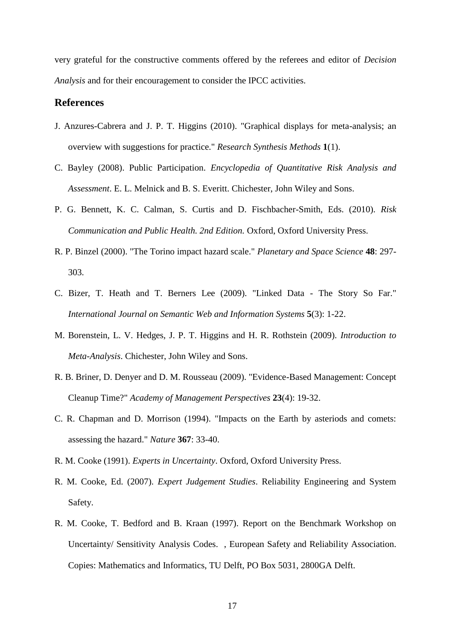very grateful for the constructive comments offered by the referees and editor of *Decision Analysis* and for their encouragement to consider the IPCC activities.

## **References**

- <span id="page-16-6"></span>J. Anzures-Cabrera and J. P. T. Higgins (2010). "Graphical displays for meta-analysis; an overview with suggestions for practice." *Research Synthesis Methods* **1**(1).
- <span id="page-16-0"></span>C. Bayley (2008). Public Participation. *Encyclopedia of Quantitative Risk Analysis and Assessment*. E. L. Melnick and B. S. Everitt. Chichester, John Wiley and Sons.
- <span id="page-16-8"></span>P. G. Bennett, K. C. Calman, S. Curtis and D. Fischbacher-Smith, Eds. (2010). *Risk Communication and Public Health. 2nd Edition.* Oxford, Oxford University Press.
- <span id="page-16-9"></span>R. P. Binzel (2000). "The Torino impact hazard scale." *Planetary and Space Science* **48**: 297- 303.
- <span id="page-16-1"></span>C. Bizer, T. Heath and T. Berners Lee (2009). "Linked Data - The Story So Far." *International Journal on Semantic Web and Information Systems* **5**(3): 1-22.
- <span id="page-16-4"></span>M. Borenstein, L. V. Hedges, J. P. T. Higgins and H. R. Rothstein (2009). *Introduction to Meta-Analysis*. Chichester, John Wiley and Sons.
- <span id="page-16-5"></span>R. B. Briner, D. Denyer and D. M. Rousseau (2009). "Evidence-Based Management: Concept Cleanup Time?" *Academy of Management Perspectives* **23**(4): 19-32.
- C. R. Chapman and D. Morrison (1994). "Impacts on the Earth by asteriods and comets: assessing the hazard." *Nature* **367**: 33-40.
- <span id="page-16-2"></span>R. M. Cooke (1991). *Experts in Uncertainty*. Oxford, Oxford University Press.
- <span id="page-16-3"></span>R. M. Cooke, Ed. (2007). *Expert Judgement Studies*. Reliability Engineering and System Safety.
- <span id="page-16-7"></span>R. M. Cooke, T. Bedford and B. Kraan (1997). Report on the Benchmark Workshop on Uncertainty/ Sensitivity Analysis Codes. , European Safety and Reliability Association. Copies: Mathematics and Informatics, TU Delft, PO Box 5031, 2800GA Delft.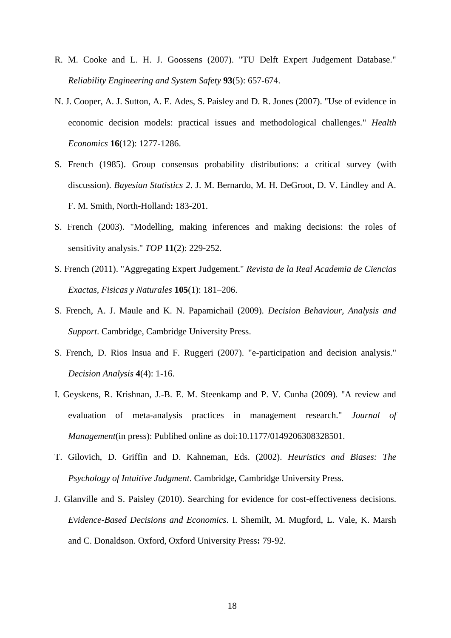- <span id="page-17-8"></span>R. M. Cooke and L. H. J. Goossens (2007). "TU Delft Expert Judgement Database." *Reliability Engineering and System Safety* **93**(5): 657-674.
- <span id="page-17-5"></span>N. J. Cooper, A. J. Sutton, A. E. Ades, S. Paisley and D. R. Jones (2007). "Use of evidence in economic decision models: practical issues and methodological challenges." *Health Economics* **16**(12): 1277-1286.
- <span id="page-17-1"></span>S. French (1985). Group consensus probability distributions: a critical survey (with discussion). *Bayesian Statistics 2*. J. M. Bernardo, M. H. DeGroot, D. V. Lindley and A. F. M. Smith, North-Holland**:** 183-201.
- <span id="page-17-9"></span>S. French (2003). "Modelling, making inferences and making decisions: the roles of sensitivity analysis." *TOP* **11**(2): 229-252.
- <span id="page-17-0"></span>S. French (2011). "Aggregating Expert Judgement." *Revista de la Real Academia de Ciencias Exactas, Fisicas y Naturales* **105**(1): 181–206.
- <span id="page-17-6"></span>S. French, A. J. Maule and K. N. Papamichail (2009). *Decision Behaviour, Analysis and Support*. Cambridge, Cambridge University Press.
- <span id="page-17-2"></span>S. French, D. Rios Insua and F. Ruggeri (2007). "e-participation and decision analysis." *Decision Analysis* **4**(4): 1-16.
- <span id="page-17-3"></span>I. Geyskens, R. Krishnan, J.-B. E. M. Steenkamp and P. V. Cunha (2009). "A review and evaluation of meta-analysis practices in management research." *Journal of Management*(in press): Publihed online as doi:10.1177/0149206308328501.
- <span id="page-17-7"></span>T. Gilovich, D. Griffin and D. Kahneman, Eds. (2002). *Heuristics and Biases: The Psychology of Intuitive Judgment*. Cambridge, Cambridge University Press.
- <span id="page-17-4"></span>J. Glanville and S. Paisley (2010). Searching for evidence for cost-effectiveness decisions. *Evidence-Based Decisions and Economics*. I. Shemilt, M. Mugford, L. Vale, K. Marsh and C. Donaldson. Oxford, Oxford University Press**:** 79-92.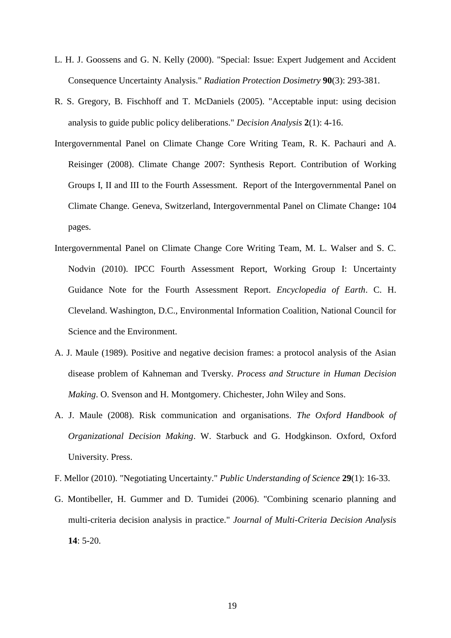- <span id="page-18-1"></span>L. H. J. Goossens and G. N. Kelly (2000). "Special: Issue: Expert Judgement and Accident Consequence Uncertainty Analysis." *Radiation Protection Dosimetry* **90**(3): 293-381.
- <span id="page-18-0"></span>R. S. Gregory, B. Fischhoff and T. McDaniels (2005). "Acceptable input: using decision analysis to guide public policy deliberations." *Decision Analysis* **2**(1): 4-16.
- <span id="page-18-5"></span>Intergovernmental Panel on Climate Change Core Writing Team, R. K. Pachauri and A. Reisinger (2008). Climate Change 2007: Synthesis Report. Contribution of Working Groups I, II and III to the Fourth Assessment. Report of the Intergovernmental Panel on Climate Change. Geneva, Switzerland, Intergovernmental Panel on Climate Change**:** 104 pages.
- <span id="page-18-6"></span>Intergovernmental Panel on Climate Change Core Writing Team, M. L. Walser and S. C. Nodvin (2010). IPCC Fourth Assessment Report, Working Group I: Uncertainty Guidance Note for the Fourth Assessment Report. *Encyclopedia of Earth*. C. H. Cleveland. Washington, D.C., Environmental Information Coalition, National Council for Science and the Environment.
- <span id="page-18-3"></span>A. J. Maule (1989). Positive and negative decision frames: a protocol analysis of the Asian disease problem of Kahneman and Tversky. *Process and Structure in Human Decision Making*. O. Svenson and H. Montgomery. Chichester, John Wiley and Sons.
- <span id="page-18-2"></span>A. J. Maule (2008). Risk communication and organisations. *The Oxford Handbook of Organizational Decision Making*. W. Starbuck and G. Hodgkinson. Oxford, Oxford University. Press.
- <span id="page-18-4"></span>F. Mellor (2010). "Negotiating Uncertainty." *Public Understanding of Science* **29**(1): 16-33.
- <span id="page-18-7"></span>G. Montibeller, H. Gummer and D. Tumidei (2006). "Combining scenario planning and multi-criteria decision analysis in practice." *Journal of Multi-Criteria Decision Analysis*  **14**: 5-20.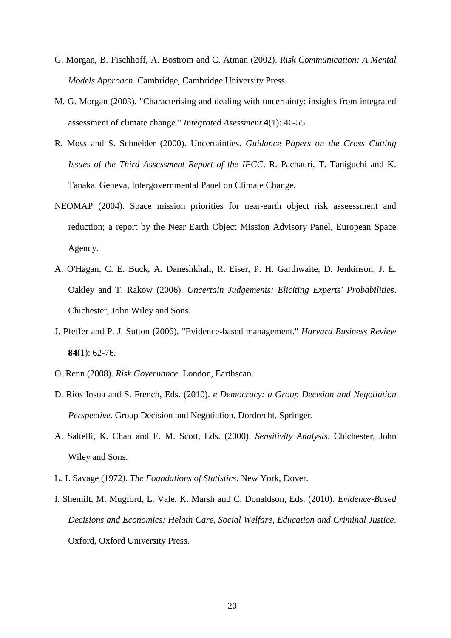- <span id="page-19-5"></span>G. Morgan, B. Fischhoff, A. Bostrom and C. Atman (2002). *Risk Communication: A Mental Models Approach*. Cambridge, Cambridge University Press.
- <span id="page-19-8"></span>M. G. Morgan (2003). "Characterising and dealing with uncertainty: insights from integrated assessment of climate change." *Integrated Asessment* **4**(1): 46-55.
- <span id="page-19-7"></span>R. Moss and S. Schneider (2000). Uncertainties. *Guidance Papers on the Cross Cutting Issues of the Third Assessment Report of the IPCC*. R. Pachauri, T. Taniguchi and K. Tanaka. Geneva, Intergovernmental Panel on Climate Change.
- <span id="page-19-6"></span>NEOMAP (2004). Space mission priorities for near-earth object risk asseessment and reduction; a report by the Near Earth Object Mission Advisory Panel, European Space Agency.
- <span id="page-19-9"></span>A. O'Hagan, C. E. Buck, A. Daneshkhah, R. Eiser, P. H. Garthwaite, D. Jenkinson, J. E. Oakley and T. Rakow (2006). *Uncertain Judgements: Eliciting Experts' Probabilities*. Chichester, John Wiley and Sons.
- <span id="page-19-3"></span>J. Pfeffer and P. J. Sutton (2006). "Evidence-based management." *Harvard Business Review* **84**(1): 62-76.
- <span id="page-19-1"></span>O. Renn (2008). *Risk Governance*. London, Earthscan.
- <span id="page-19-2"></span>D. Rios Insua and S. French, Eds. (2010). *e Democracy: a Group Decision and Negotiation Perspective*. Group Decision and Negotiation. Dordrecht, Springer.
- <span id="page-19-10"></span>A. Saltelli, K. Chan and E. M. Scott, Eds. (2000). *Sensitivity Analysis*. Chichester, John Wiley and Sons.
- <span id="page-19-0"></span>L. J. Savage (1972). *The Foundations of Statistics*. New York, Dover.
- <span id="page-19-4"></span>I. Shemilt, M. Mugford, L. Vale, K. Marsh and C. Donaldson, Eds. (2010). *Evidence-Based Decisions and Economics: Helath Care, Social Welfare, Education and Criminal Justice*. Oxford, Oxford University Press.